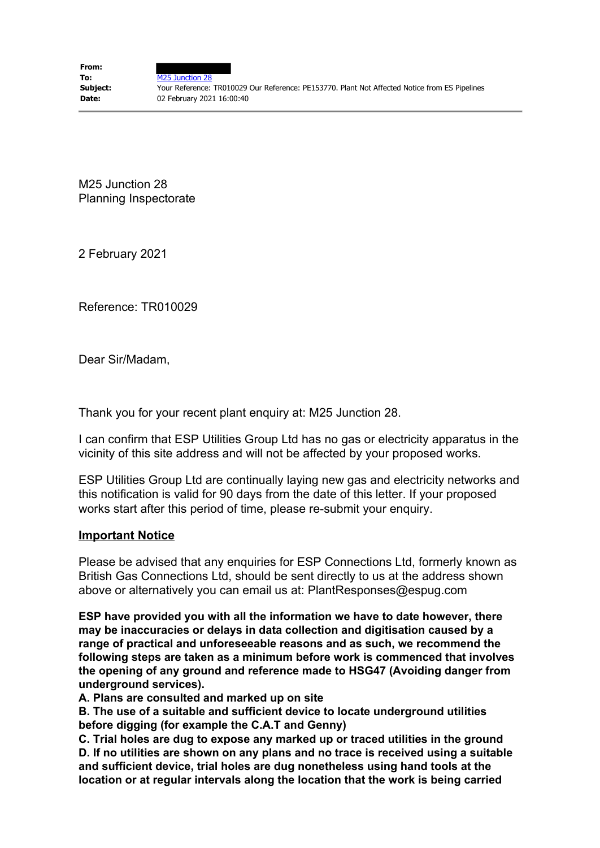M25 Junction 28 Planning Inspectorate

2 February 2021

Reference: TR010029

Dear Sir/Madam,

Thank you for your recent plant enquiry at: M25 Junction 28.

I can confirm that ESP Utilities Group Ltd has no gas or electricity apparatus in the vicinity of this site address and will not be affected by your proposed works.

ESP Utilities Group Ltd are continually laying new gas and electricity networks and this notification is valid for 90 days from the date of this letter. If your proposed works start after this period of time, please re-submit your enquiry.

## **Important Notice**

Please be advised that any enquiries for ESP Connections Ltd, formerly known as British Gas Connections Ltd, should be sent directly to us at the address shown above or alternatively you can email us at: PlantResponses@espug.com

**ESP have provided you with all the information we have to date however, there may be inaccuracies or delays in data collection and digitisation caused by a range of practical and unforeseeable reasons and as such, we recommend the following steps are taken as a minimum before work is commenced that involves the opening of any ground and reference made to HSG47 (Avoiding danger from underground services).**

**A. Plans are consulted and marked up on site** 

**B. The use of a suitable and sufficient device to locate underground utilities before digging (for example the C.A.T and Genny)** 

**C. Trial holes are dug to expose any marked up or traced utilities in the ground D. If no utilities are shown on any plans and no trace is received using a suitable and sufficient device, trial holes are dug nonetheless using hand tools at the location or at regular intervals along the location that the work is being carried**